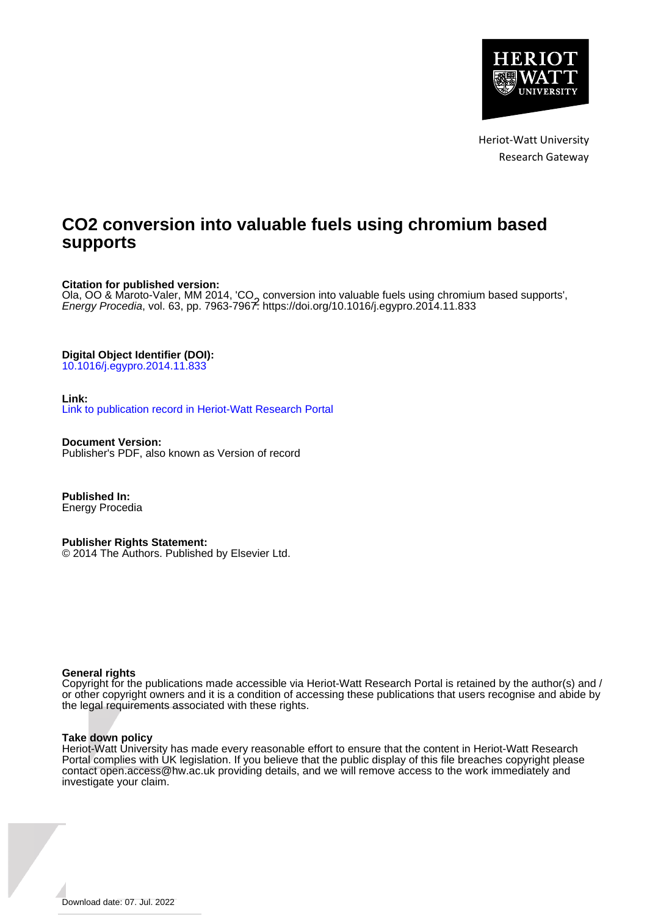

Heriot-Watt University Research Gateway

# **CO2 conversion into valuable fuels using chromium based supports**

# **Citation for published version:**

Ola, OO & Maroto-Valer, MM 2014, 'CO<sub>2</sub> conversion into valuable fuels using chromium based supports',<br>Energy Procedia vol. 63, pp. 7963-7967 https://doi.org/10.1016/i eqypro 2014.11.833 Energy Procedia, vol. 63, pp. 7963-7967. <https://doi.org/10.1016/j.egypro.2014.11.833>

# **Digital Object Identifier (DOI):**

[10.1016/j.egypro.2014.11.833](https://doi.org/10.1016/j.egypro.2014.11.833)

## **Link:**

[Link to publication record in Heriot-Watt Research Portal](https://researchportal.hw.ac.uk/en/publications/9159a7a3-ad69-4b49-b8d2-bdad8a0537d1)

**Document Version:** Publisher's PDF, also known as Version of record

**Published In:** Energy Procedia

# **Publisher Rights Statement:**

© 2014 The Authors. Published by Elsevier Ltd.

## **General rights**

Copyright for the publications made accessible via Heriot-Watt Research Portal is retained by the author(s) and / or other copyright owners and it is a condition of accessing these publications that users recognise and abide by the legal requirements associated with these rights.

## **Take down policy**

Heriot-Watt University has made every reasonable effort to ensure that the content in Heriot-Watt Research Portal complies with UK legislation. If you believe that the public display of this file breaches copyright please contact open.access@hw.ac.uk providing details, and we will remove access to the work immediately and investigate your claim.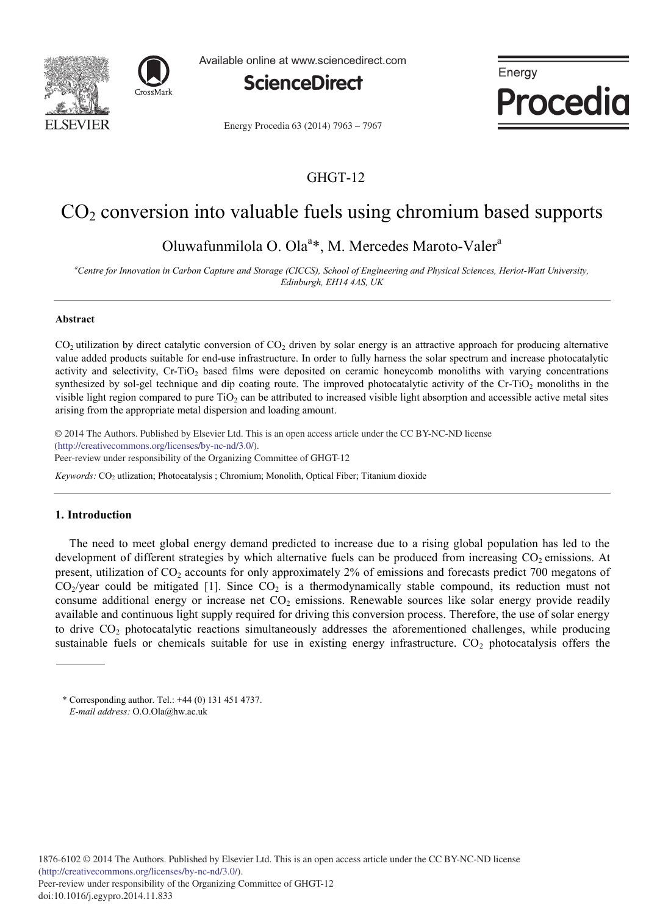



Available online at www.sciencedirect.com



Energy Procedia

Energy Procedia 63 (2014) 7963 - 7967

# GHGT-12

# $CO<sub>2</sub>$  conversion into valuable fuels using chromium based supports

Oluwafunmilola O. Ola<sup>a\*</sup>, M. Mercedes Maroto-Valer<sup>a</sup>

*a Centre for Innovation in Carbon Capture and Storage (CICCS), School of Engineering and Physical Sciences, Heriot-Watt University, Edinburgh, EH14 4AS, UK*

#### **Abstract**

 $CO<sub>2</sub>$  utilization by direct catalytic conversion of  $CO<sub>2</sub>$  driven by solar energy is an attractive approach for producing alternative value added products suitable for end-use infrastructure. In order to fully harness the solar spectrum and increase photocatalytic activity and selectivity, Cr-TiO<sub>2</sub> based films were deposited on ceramic honeycomb monoliths with varying concentrations synthesized by sol-gel technique and dip coating route. The improved photocatalytic activity of the  $Cr-TiO<sub>2</sub>$  monoliths in the visible light region compared to pure  $TiO<sub>2</sub>$  can be attributed to increased visible light absorption and accessible active metal sites arising from the appropriate metal dispersion and loading amount.

© 2013 The Authors. Published by Elsevier Ltd. © 2014 The Authors. Published by Elsevier Ltd. This is an open access article under the CC BY-NC-ND license (http://creativecommons.org/licenses/by-nc-nd/3.0/). Peer-review under responsibility of the Organizing Committee of GHGT-12

Keywords: CO<sub>2</sub> utlization; Photocatalysis ; Chromium; Monolith, Optical Fiber; Titanium dioxide

## **1. Introduction**

The need to meet global energy demand predicted to increase due to a rising global population has led to the development of different strategies by which alternative fuels can be produced from increasing  $CO<sub>2</sub>$  emissions. At present, utilization of CO2 accounts for only approximately 2% of emissions and forecasts predict 700 megatons of  $CO<sub>2</sub>/year$  could be mitigated [1]. Since  $CO<sub>2</sub>$  is a thermodynamically stable compound, its reduction must not consume additional energy or increase net  $CO<sub>2</sub>$  emissions. Renewable sources like solar energy provide readily available and continuous light supply required for driving this conversion process. Therefore, the use of solar energy to drive CO2 photocatalytic reactions simultaneously addresses the aforementioned challenges, while producing sustainable fuels or chemicals suitable for use in existing energy infrastructure.  $CO<sub>2</sub>$  photocatalysis offers the

<sup>\*</sup> Corresponding author. Tel.: +44 (0) 131 451 4737. *E-mail address:* O.O.Ola@hw.ac.uk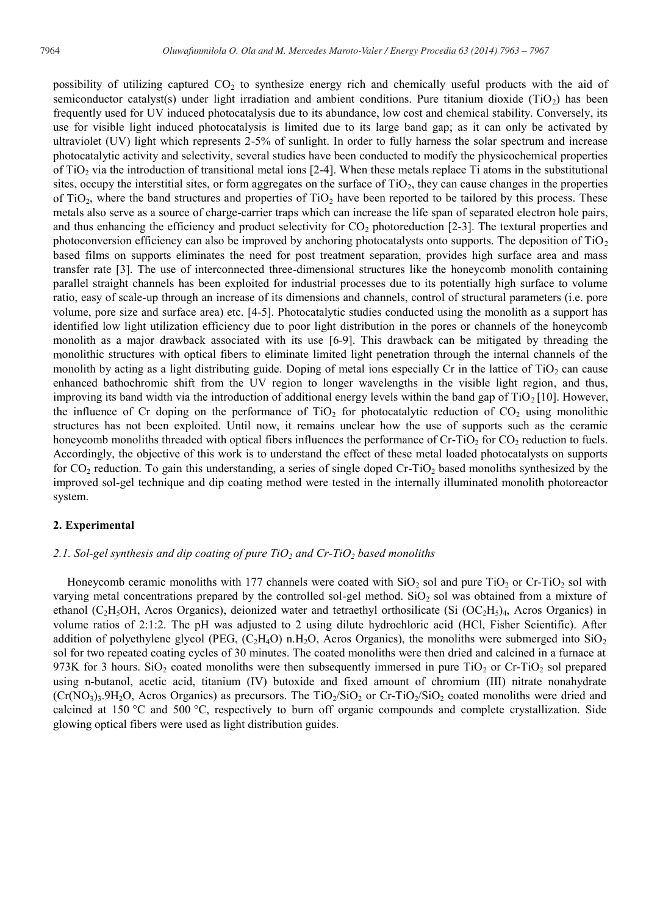possibility of utilizing captured  $CO<sub>2</sub>$  to synthesize energy rich and chemically useful products with the aid of semiconductor catalyst(s) under light irradiation and ambient conditions. Pure titanium dioxide ( $TiO<sub>2</sub>$ ) has been frequently used for UV induced photocatalysis due to its abundance, low cost and chemical stability. Conversely, its use for visible light induced photocatalysis is limited due to its large band gap; as it can only be activated by ultraviolet (UV) light which represents 2-5% of sunlight. In order to fully harness the solar spectrum and increase photocatalytic activity and selectivity, several studies have been conducted to modify the physicochemical properties of  $TiO<sub>2</sub>$  via the introduction of transitional metal ions [2-4]. When these metals replace Ti atoms in the substitutional sites, occupy the interstitial sites, or form aggregates on the surface of  $TiO<sub>2</sub>$ , they can cause changes in the properties of  $TiO<sub>2</sub>$ , where the band structures and properties of  $TiO<sub>2</sub>$  have been reported to be tailored by this process. These metals also serve as a source of charge-carrier traps which can increase the life span of separated electron hole pairs, and thus enhancing the efficiency and product selectivity for  $CO<sub>2</sub>$  photoreduction [2-3]. The textural properties and photoconversion efficiency can also be improved by anchoring photocatalysts onto supports. The deposition of  $TiO<sub>2</sub>$ based films on supports eliminates the need for post treatment separation, provides high surface area and mass transfer rate [3]. The use of interconnected three-dimensional structures like the honeycomb monolith containing parallel straight channels has been exploited for industrial processes due to its potentially high surface to volume ratio, easy of scale-up through an increase of its dimensions and channels, control of structural parameters (i.e. pore volume, pore size and surface area) etc. [4-5]. Photocatalytic studies conducted using the monolith as a support has identified low light utilization efficiency due to poor light distribution in the pores or channels of the honeycomb monolith as a major drawback associated with its use [6-9]. This drawback can be mitigated by threading the monolithic structures with optical fibers to eliminate limited light penetration through the internal channels of the monolith by acting as a light distributing guide. Doping of metal ions especially Cr in the lattice of  $TiO<sub>2</sub>$  can cause enhanced bathochromic shift from the UV region to longer wavelengths in the visible light region, and thus, improving its band width via the introduction of additional energy levels within the band gap of  $TiO<sub>2</sub>[10]$ . However, the influence of Cr doping on the performance of  $TiO<sub>2</sub>$  for photocatalytic reduction of  $CO<sub>2</sub>$  using monolithic structures has not been exploited. Until now, it remains unclear how the use of supports such as the ceramic honeycomb monoliths threaded with optical fibers influences the performance of  $Cr-TiO<sub>2</sub>$  for  $CO<sub>2</sub>$  reduction to fuels. Accordingly, the objective of this work is to understand the effect of these metal loaded photocatalysts on supports for  $CO_2$  reduction. To gain this understanding, a series of single doped  $Cr-TiO_2$  based monoliths synthesized by the improved sol-gel technique and dip coating method were tested in the internally illuminated monolith photoreactor system.

#### **2. Experimental**

#### 2.1. Sol-gel synthesis and dip coating of pure TiO<sub>2</sub> and Cr-TiO<sub>2</sub> based monoliths

Honeycomb ceramic monoliths with 177 channels were coated with  $SiO<sub>2</sub>$  sol and pure TiO<sub>2</sub> or Cr-TiO<sub>2</sub> sol with varying metal concentrations prepared by the controlled sol-gel method. SiO<sub>2</sub> sol was obtained from a mixture of ethanol (C<sub>2</sub>H<sub>5</sub>OH, Acros Organics), deionized water and tetraethyl orthosilicate (Si (OC<sub>2</sub>H<sub>5</sub>)<sub>4</sub>, Acros Organics) in volume ratios of 2:1:2. The pH was adjusted to 2 using dilute hydrochloric acid (HCl, Fisher Scientific). After addition of polyethylene glycol (PEG,  $(C_2H_4O)$  n.H<sub>2</sub>O, Acros Organics), the monoliths were submerged into  $SiO<sub>2</sub>$ sol for two repeated coating cycles of 30 minutes. The coated monoliths were then dried and calcined in a furnace at 973K for 3 hours. SiO<sub>2</sub> coated monoliths were then subsequently immersed in pure TiO<sub>2</sub> or Cr-TiO<sub>2</sub> sol prepared using n-butanol, acetic acid, titanium (IV) butoxide and fixed amount of chromium (III) nitrate nonahydrate  $(Cr(NO<sub>3</sub>)<sub>3</sub>.9H<sub>2</sub>O$ , Acros Organics) as precursors. The TiO<sub>2</sub>/SiO<sub>2</sub> or Cr-TiO<sub>2</sub>/SiO<sub>2</sub> coated monoliths were dried and calcined at 150 °C and 500 °C, respectively to burn off organic compounds and complete crystallization. Side glowing optical fibers were used as light distribution guides.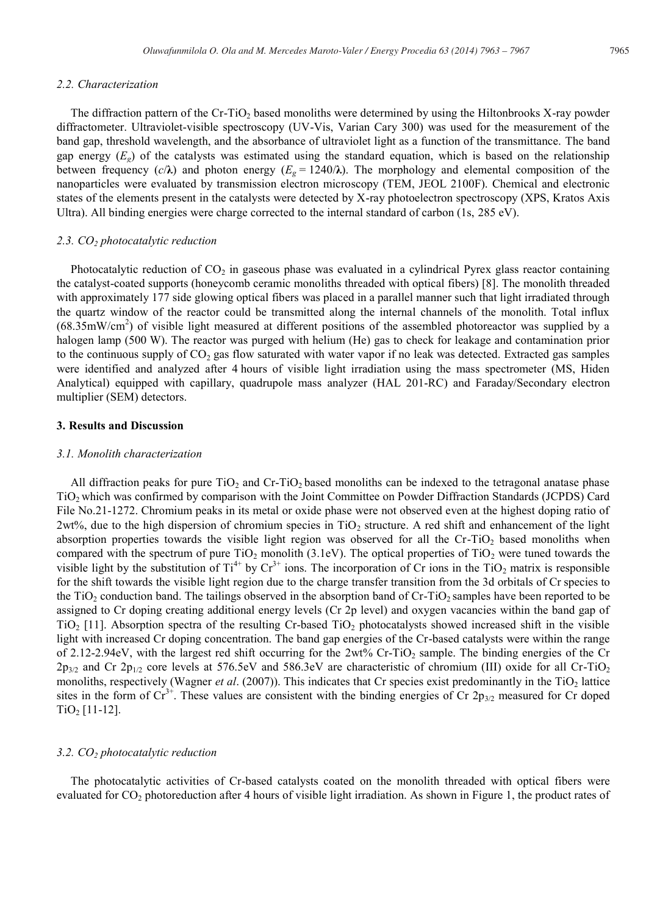#### *2.2. Characterization*

The diffraction pattern of the Cr-TiO<sub>2</sub> based monoliths were determined by using the Hiltonbrooks X-ray powder diffractometer. Ultraviolet-visible spectroscopy (UV-Vis, Varian Cary 300) was used for the measurement of the band gap, threshold wavelength, and the absorbance of ultraviolet light as a function of the transmittance. The band gap energy  $(E_g)$  of the catalysts was estimated using the standard equation, which is based on the relationship between frequency  $(c/\lambda)$  and photon energy  $(E_g = 1240/\lambda)$ . The morphology and elemental composition of the nanoparticles were evaluated by transmission electron microscopy (TEM, JEOL 2100F). Chemical and electronic states of the elements present in the catalysts were detected by X-ray photoelectron spectroscopy (XPS, Kratos Axis Ultra). All binding energies were charge corrected to the internal standard of carbon (1s, 285 eV).

#### *2.3. CO2 photocatalytic reduction*

Photocatalytic reduction of  $CO<sub>2</sub>$  in gaseous phase was evaluated in a cylindrical Pyrex glass reactor containing the catalyst-coated supports (honeycomb ceramic monoliths threaded with optical fibers) [8]. The monolith threaded with approximately 177 side glowing optical fibers was placed in a parallel manner such that light irradiated through the quartz window of the reactor could be transmitted along the internal channels of the monolith. Total influx  $(68.35 \text{mW/cm}^2)$  of visible light measured at different positions of the assembled photoreactor was supplied by a halogen lamp (500 W). The reactor was purged with helium (He) gas to check for leakage and contamination prior to the continuous supply of  $CO<sub>2</sub>$  gas flow saturated with water vapor if no leak was detected. Extracted gas samples were identified and analyzed after 4 hours of visible light irradiation using the mass spectrometer (MS, Hiden Analytical) equipped with capillary, quadrupole mass analyzer (HAL 201-RC) and Faraday/Secondary electron multiplier (SEM) detectors.

# **3. Results and Discussion**

#### *3.1. Monolith characterization*

All diffraction peaks for pure  $TiO<sub>2</sub>$  and  $Cr TiO<sub>2</sub>$  based monoliths can be indexed to the tetragonal anatase phase TiO2 which was confirmed by comparison with the Joint Committee on Powder Diffraction Standards (JCPDS) Card File No.21-1272. Chromium peaks in its metal or oxide phase were not observed even at the highest doping ratio of  $2wt\%$ , due to the high dispersion of chromium species in TiO<sub>2</sub> structure. A red shift and enhancement of the light absorption properties towards the visible light region was observed for all the Cr-TiO<sub>2</sub> based monoliths when compared with the spectrum of pure  $TiO<sub>2</sub>$  monolith (3.1eV). The optical properties of  $TiO<sub>2</sub>$  were tuned towards the visible light by the substitution of  $Ti^{4+}$  by  $Cr^{3+}$  ions. The incorporation of  $Cr$  ions in the  $TiO_2$  matrix is responsible for the shift towards the visible light region due to the charge transfer transition from the 3d orbitals of Cr species to the TiO<sub>2</sub> conduction band. The tailings observed in the absorption band of  $Cr$ -TiO<sub>2</sub> samples have been reported to be assigned to Cr doping creating additional energy levels (Cr 2p level) and oxygen vacancies within the band gap of  $TiO<sub>2</sub>$  [11]. Absorption spectra of the resulting Cr-based TiO<sub>2</sub> photocatalysts showed increased shift in the visible light with increased Cr doping concentration. The band gap energies of the Cr-based catalysts were within the range of 2.12-2.94eV, with the largest red shift occurring for the 2wt% Cr-TiO2 sample. The binding energies of the Cr  $2p_{3/2}$  and Cr  $2p_{1/2}$  core levels at 576.5eV and 586.3eV are characteristic of chromium (III) oxide for all Cr-TiO<sub>2</sub> monoliths, respectively (Wagner *et al.* (2007)). This indicates that Cr species exist predominantly in the TiO<sub>2</sub> lattice sites in the form of  $Cr^{3+}$ . These values are consistent with the binding energies of Cr 2p<sub>3/2</sub> measured for Cr doped  $TiO<sub>2</sub>$  [11-12].

#### *3.2. CO2 photocatalytic reduction*

The photocatalytic activities of Cr-based catalysts coated on the monolith threaded with optical fibers were evaluated for CO<sub>2</sub> photoreduction after 4 hours of visible light irradiation. As shown in Figure 1, the product rates of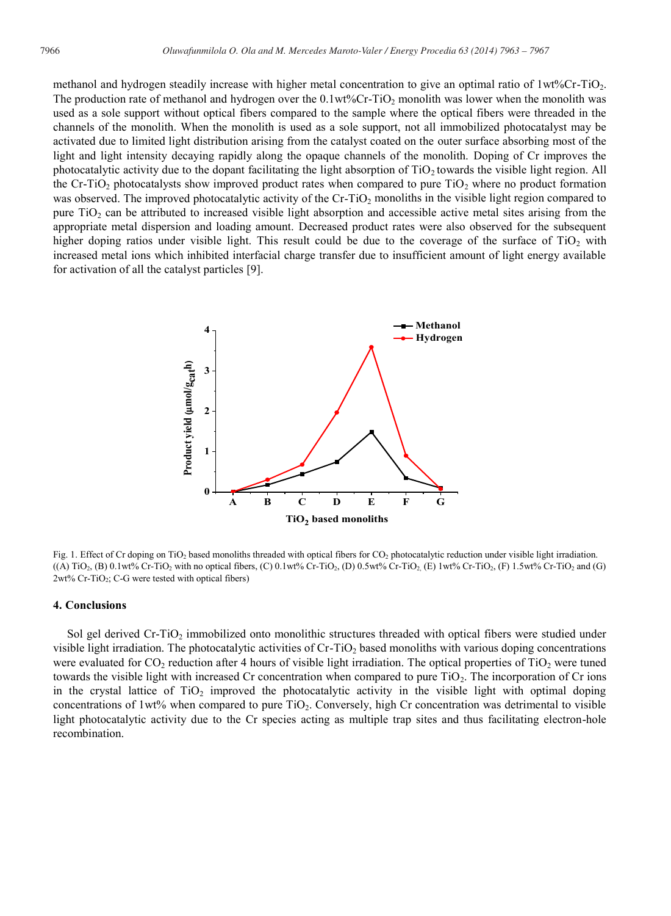methanol and hydrogen steadily increase with higher metal concentration to give an optimal ratio of  $1wt%Cr-TiO<sub>2</sub>$ . The production rate of methanol and hydrogen over the  $0.1wt\%Cr-TiO<sub>2</sub>$  monolith was lower when the monolith was used as a sole support without optical fibers compared to the sample where the optical fibers were threaded in the channels of the monolith. When the monolith is used as a sole support, not all immobilized photocatalyst may be activated due to limited light distribution arising from the catalyst coated on the outer surface absorbing most of the light and light intensity decaying rapidly along the opaque channels of the monolith. Doping of Cr improves the photocatalytic activity due to the dopant facilitating the light absorption of  $TiO<sub>2</sub>$  towards the visible light region. All the Cr-TiO<sub>2</sub> photocatalysts show improved product rates when compared to pure TiO<sub>2</sub> where no product formation was observed. The improved photocatalytic activity of the Cr-TiO<sub>2</sub> monoliths in the visible light region compared to pure  $TiO<sub>2</sub>$  can be attributed to increased visible light absorption and accessible active metal sites arising from the appropriate metal dispersion and loading amount. Decreased product rates were also observed for the subsequent higher doping ratios under visible light. This result could be due to the coverage of the surface of  $TiO<sub>2</sub>$  with increased metal ions which inhibited interfacial charge transfer due to insufficient amount of light energy available for activation of all the catalyst particles [9].



Fig. 1. Effect of Cr doping on TiO<sub>2</sub> based monoliths threaded with optical fibers for CO<sub>2</sub> photocatalytic reduction under visible light irradiation.  $((A) TiO<sub>2</sub>, (B) 0.1wt% Cr-TiO<sub>2</sub> with no optical fibers, (C) 0.1wt% Cr-TiO<sub>2</sub>, (D) 0.5wt% Cr-TiO<sub>2</sub>, (E) 1wt% Cr-TiO<sub>2</sub>, (F) 1.5wt% Cr-TiO<sub>2</sub> and (G)$  $2wt\%$  Cr-TiO<sub>2</sub>; C-G were tested with optical fibers)

#### **4. Conclusions**

Sol gel derived Cr-TiO<sub>2</sub> immobilized onto monolithic structures threaded with optical fibers were studied under visible light irradiation. The photocatalytic activities of  $Cr$ -TiO<sub>2</sub> based monoliths with various doping concentrations were evaluated for  $CO_2$  reduction after 4 hours of visible light irradiation. The optical properties of TiO<sub>2</sub> were tuned towards the visible light with increased Cr concentration when compared to pure  $TiO<sub>2</sub>$ . The incorporation of Cr ions in the crystal lattice of  $TiO<sub>2</sub>$  improved the photocatalytic activity in the visible light with optimal doping concentrations of 1wt% when compared to pure  $TiO<sub>2</sub>$ . Conversely, high Cr concentration was detrimental to visible light photocatalytic activity due to the Cr species acting as multiple trap sites and thus facilitating electron-hole recombination.